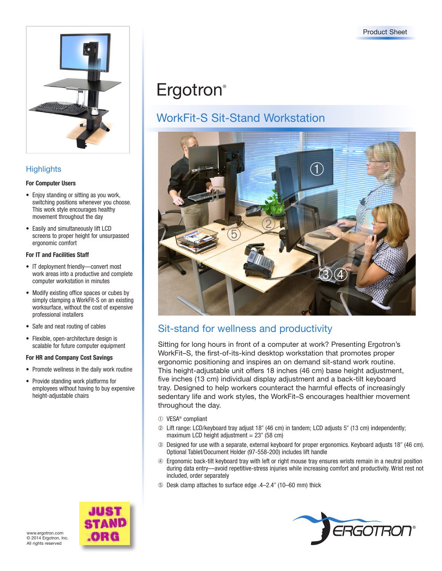

### **Highlights**

#### **For Computer Users**

- Enjoy standing or sitting as you work, switching positions whenever you choose. This work style encourages healthy movement throughout the day
- Easily and simultaneously lift LCD screens to proper height for unsurpassed ergonomic comfort

#### **For IT and Facilities Staff**

- IT deployment friendly—convert most work areas into a productive and complete computer workstation in minutes
- Modify existing office spaces or cubes by simply clamping a WorkFit-S on an existing worksurface, without the cost of expensive professional installers
- Safe and neat routing of cables
- Flexible, open-architecture design is scalable for future computer equipment

#### **For HR and Company Cost Savings**

- Promote wellness in the daily work routine
- Provide standing work platforms for employees without having to buy expensive height-adjustable chairs

# **Ergotron**®

## WorkFit-S Sit-Stand Workstation



## Sit-stand for wellness and productivity

Sitting for long hours in front of a computer at work? Presenting Ergotron's WorkFit–S, the first-of-its-kind desktop workstation that promotes proper ergonomic positioning and inspires an on demand sit-stand work routine. This height-adjustable unit offers 18 inches (46 cm) base height adjustment, five inches (13 cm) individual display adjustment and a back-tilt keyboard tray. Designed to help workers counteract the harmful effects of increasingly sedentary life and work styles, the WorkFit–S encourages healthier movement throughout the day.

- ➀ VESA® compliant
- ➁ Lift range: LCD/keyboard tray adjust 18 (46 cm) in tandem; LCD adjusts 5 (13 cm) independently; maximum LCD height adjustment  $= 23$ " (58 cm)
- ➂ Designed for use with a separate, external keyboard for proper ergonomics. Keyboard adjusts 18 (46 cm). Optional Tablet/Document Holder (97-558-200) includes lift handle
- ➃ Ergonomic back-tilt keyboard tray with left or right mouse tray ensures wrists remain in a neutral position during data entry—avoid repetitive-stress injuries while increasing comfort and productivity. Wrist rest not included, order separately
- ➄ Desk clamp attaches to surface edge .4–2.4 (10–60 mm) thick



www.ergotron.com © 2014 Ergotron, Inc. All rights reserved